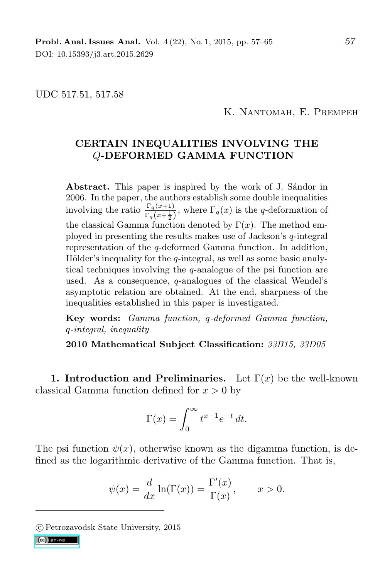DOI: 10.15393/j3.art.2015.2629

UDC 517.51, 517.58

K. Nantomah, E. Prempeh

## CERTAIN INEQUALITIES INVOLVING THE Q-DEFORMED GAMMA FUNCTION

Abstract. This paper is inspired by the work of J. Sandor in 2006. In the paper, the authors establish some double inequalities involving the ratio  $\frac{\Gamma_q(x+1)}{\Gamma_q(x+\frac{1}{2})}$ , where  $\Gamma_q(x)$  is the q-deformation of the classical Gamma function denoted by  $\Gamma(x)$ . The method employed in presenting the results makes use of Jackson's q-integral representation of the q-deformed Gamma function. In addition, Hölder's inequality for the  $q$ -integral, as well as some basic analytical techniques involving the q-analogue of the psi function are used. As a consequence, q-analogues of the classical Wendel's asymptotic relation are obtained. At the end, sharpness of the inequalities established in this paper is investigated.

Key words: Gamma function, q-deformed Gamma function, q-integral, inequality

2010 Mathematical Subject Classification: 33B15, 33D05

1. Introduction and Preliminaries. Let  $\Gamma(x)$  be the well-known classical Gamma function defined for  $x > 0$  by

$$
\Gamma(x) = \int_0^\infty t^{x-1} e^{-t} dt.
$$

The psi function  $\psi(x)$ , otherwise known as the digamma function, is defined as the logarithmic derivative of the Gamma function. That is,

$$
\psi(x) = \frac{d}{dx}\ln(\Gamma(x)) = \frac{\Gamma'(x)}{\Gamma(x)}, \qquad x > 0.
$$

c Petrozavodsk State University, 2015

 $(Cc)$  BY-NC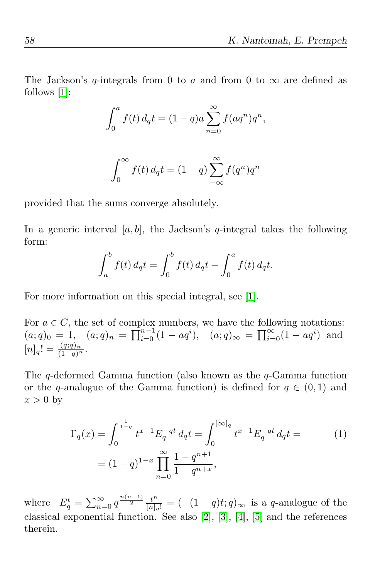The Jackson's q-integrals from 0 to a and from 0 to  $\infty$  are defined as follows [1]:

$$
\int_0^a f(t) \, d_q t = (1-q)a \sum_{n=0}^\infty f(aq^n) q^n,
$$

$$
\int_0^\infty f(t) \, d_q t = (1 - q) \sum_{-\infty}^\infty f(q^n) q^n
$$

provided that the sums converge absolutely.

In a generic interval  $[a, b]$ , the Jackson's q-integral takes the following form:

$$
\int_{a}^{b} f(t) d_q t = \int_{0}^{b} f(t) d_q t - \int_{0}^{a} f(t) d_q t.
$$

For more information on this special integral, see [1].

For  $a \in C$ , the set of complex numbers, we have the following notations:  $(a;q)_0 = 1, (a;q)_n = \prod_{i=0}^{n-1} (1 - aq^i), (a;q)_{\infty} = \prod_{i=0}^{\infty} (1 - aq^i)$  and  $[n]_q! = \frac{(q;q)_n}{(1-q)^n}.$ 

The  $q$ -deformed Gamma function (also known as the  $q$ -Gamma function or the q-analogue of the Gamma function) is defined for  $q \in (0,1)$  and  $x > 0$  by

$$
\Gamma_q(x) = \int_0^{\frac{1}{1-q}} t^{x-1} E_q^{-qt} d_q t = \int_0^{\infty} t^{x-1} E_q^{-qt} d_q t =
$$
\n
$$
= (1-q)^{1-x} \prod_{n=0}^{\infty} \frac{1-q^{n+1}}{1-q^{n+x}},
$$
\n(1)

where  $E_q^t = \sum_{n=0}^{\infty} q^{\frac{n(n-1)}{2}} \frac{t^n}{[n]_q}$  $\frac{t^n}{[n]_q!} = \left(-\frac{(1-q)t}{q}\right)_{\infty}$  is a q-analogue of the classical exponential function. See also [2], [3], [4], [5] and the references therein.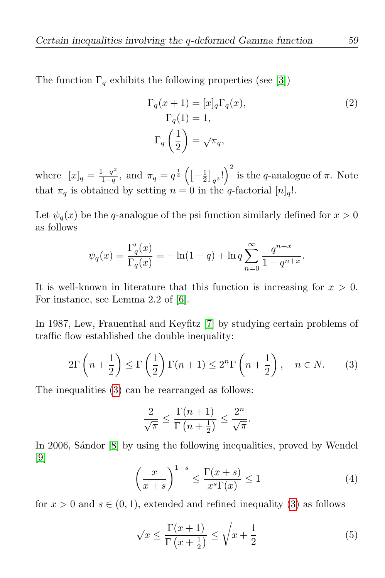The function  $\Gamma_q$  exhibits the following properties (see [3])

$$
\Gamma_q(x+1) = [x]_q \Gamma_q(x),
$$
  
\n
$$
\Gamma_q(1) = 1,
$$
  
\n
$$
\Gamma_q\left(\frac{1}{2}\right) = \sqrt{\pi_q},
$$
\n(2)

where  $[x]_q = \frac{1-q^x}{1-q}$  $\frac{1-q^x}{1-q}$ , and  $\pi_q = q^{\frac{1}{4}} \left( \left[ -\frac{1}{2} \right] \right)$  $\left(\frac{1}{2}\right)_{q^2}$ !)<sup>2</sup> is the q-analogue of  $\pi$ . Note that  $\pi_q$  is obtained by setting  $n = 0$  in the q-factorial  $[n]_q!$ .

Let  $\psi_a(x)$  be the q-analogue of the psi function similarly defined for  $x > 0$ as follows

$$
\psi_q(x) = \frac{\Gamma'_q(x)}{\Gamma_q(x)} = -\ln(1-q) + \ln q \sum_{n=0}^{\infty} \frac{q^{n+x}}{1-q^{n+x}}.
$$

It is well-known in literature that this function is increasing for  $x > 0$ . For instance, see Lemma 2.2 of [6].

In 1987, Lew, Frauenthal and Keyfitz [7] by studying certain problems of traffic flow established the double inequality:

$$
2\Gamma\left(n+\frac{1}{2}\right) \le \Gamma\left(\frac{1}{2}\right)\Gamma(n+1) \le 2^{n}\Gamma\left(n+\frac{1}{2}\right), \quad n \in N. \tag{3}
$$

The inequalities (3) can be rearranged as follows:

$$
\frac{2}{\sqrt{\pi}} \le \frac{\Gamma(n+1)}{\Gamma(n+\frac{1}{2})} \le \frac{2^n}{\sqrt{\pi}}.
$$

In 2006, Sandor [8] by using the following inequalities, proved by Wendel  $|9|$ 

$$
\left(\frac{x}{x+s}\right)^{1-s} \le \frac{\Gamma(x+s)}{x^s \Gamma(x)} \le 1\tag{4}
$$

for  $x > 0$  and  $s \in (0, 1)$ , extended and refined inequality (3) as follows

$$
\sqrt{x} \le \frac{\Gamma(x+1)}{\Gamma(x+\frac{1}{2})} \le \sqrt{x+\frac{1}{2}}\tag{5}
$$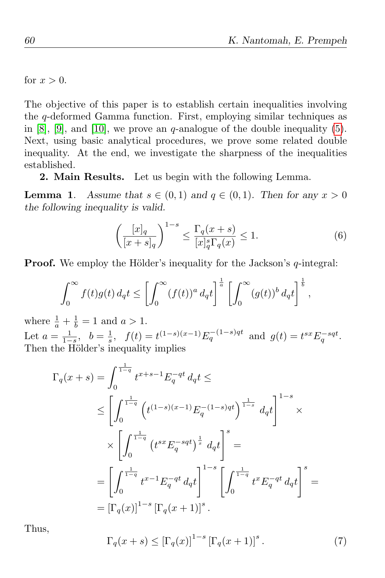for  $x > 0$ .

The objective of this paper is to establish certain inequalities involving the q-deformed Gamma function. First, employing similar techniques as in [8], [9], and [10], we prove an q-analogue of the double inequality (5). Next, using basic analytical procedures, we prove some related double inequality. At the end, we investigate the sharpness of the inequalities established.

2. Main Results. Let us begin with the following Lemma.

**Lemma 1.** Assume that  $s \in (0,1)$  and  $q \in (0,1)$ . Then for any  $x > 0$ the following inequality is valid.

$$
\left(\frac{[x]_q}{[x+s]_q}\right)^{1-s} \le \frac{\Gamma_q(x+s)}{[x]_q^s \Gamma_q(x)} \le 1.
$$
\n(6)

**Proof.** We employ the Hölder's inequality for the Jackson's  $q$ -integral:

$$
\int_0^\infty f(t)g(t) d_qt \leq \left[\int_0^\infty (f(t))^a d_qt\right]^{\frac{1}{a}} \left[\int_0^\infty (g(t))^b d_qt\right]^{\frac{1}{b}},
$$

where  $\frac{1}{a} + \frac{1}{b}$  $\frac{1}{b} = 1$  and  $a > 1$ . Let  $a=\frac{1}{1-}$  $\frac{1}{1-s}, b = \frac{1}{s}$  $\frac{1}{s}$ ,  $f(t) = t^{(1-s)(x-1)} E_q^{-(1-s)qt}$  and  $g(t) = t^{sx} E_q^{-sqt}$ . Then the Hölder's inequality implies

$$
\Gamma_q(x+s) = \int_0^{\frac{1}{1-q}} t^{x+s-1} E_q^{-qt} d_q t \le
$$
\n
$$
\leq \left[ \int_0^{\frac{1}{1-q}} \left( t^{(1-s)(x-1)} E_q^{-(1-s)qt} \right)^{\frac{1}{1-s}} d_q t \right]^{1-s} \times
$$
\n
$$
\times \left[ \int_0^{\frac{1}{1-q}} \left( t^{sx} E_q^{-sqt} \right)^{\frac{1}{s}} d_q t \right]^s =
$$
\n
$$
= \left[ \int_0^{\frac{1}{1-q}} t^{x-1} E_q^{-qt} d_q t \right]^{1-s} \left[ \int_0^{\frac{1}{1-q}} t^x E_q^{-qt} d_q t \right]^s =
$$
\n
$$
= \left[ \Gamma_q(x) \right]^{1-s} \left[ \Gamma_q(x+1) \right]^s.
$$

Thus,

$$
\Gamma_q(x+s) \leq \left[\Gamma_q(x)\right]^{1-s} \left[\Gamma_q(x+1)\right]^s. \tag{7}
$$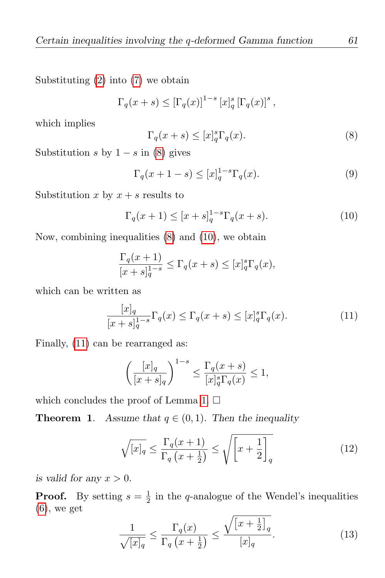Substituting (2) into (7) we obtain

$$
\Gamma_q(x+s) \leq \left[\Gamma_q(x)\right]^{1-s} \left[x\right]_q^s \left[\Gamma_q(x)\right]^s,
$$

which implies

$$
\Gamma_q(x+s) \le [x]_q^s \Gamma_q(x). \tag{8}
$$

Substitution s by  $1 - s$  in (8) gives

$$
\Gamma_q(x+1-s) \le [x]_q^{1-s} \Gamma_q(x). \tag{9}
$$

Substitution x by  $x + s$  results to

$$
\Gamma_q(x+1) \le [x+s]_q^{1-s} \Gamma_q(x+s).
$$
 (10)

Now, combining inequalities (8) and (10), we obtain

$$
\frac{\Gamma_q(x+1)}{[x+s]_q^{1-s}} \le \Gamma_q(x+s) \le [x]_q^s \Gamma_q(x),
$$

which can be written as

$$
\frac{[x]_q}{[x+s]_q^{1-s}}\Gamma_q(x) \le \Gamma_q(x+s) \le [x]_q^s\Gamma_q(x). \tag{11}
$$

Finally, (11) can be rearranged as:

$$
\left(\frac{[x]_q}{[x+s]_q}\right)^{1-s} \le \frac{\Gamma_q(x+s)}{[x]_q^s \Gamma_q(x)} \le 1,
$$

which concludes the proof of Lemma 1.  $\Box$ 

**Theorem 1.** Assume that  $q \in (0,1)$ . Then the inequality

$$
\sqrt{[x]_q} \le \frac{\Gamma_q(x+1)}{\Gamma_q(x+\frac{1}{2})} \le \sqrt{\left[x+\frac{1}{2}\right]_q} \tag{12}
$$

is valid for any  $x > 0$ .

**Proof.** By setting  $s = \frac{1}{2}$  $\frac{1}{2}$  in the q-analogue of the Wendel's inequalities (6), we get

$$
\frac{1}{\sqrt{[x]_q}} \le \frac{\Gamma_q(x)}{\Gamma_q\left(x + \frac{1}{2}\right)} \le \frac{\sqrt{\left[x + \frac{1}{2}\right]_q}}{[x]_q}.\tag{13}
$$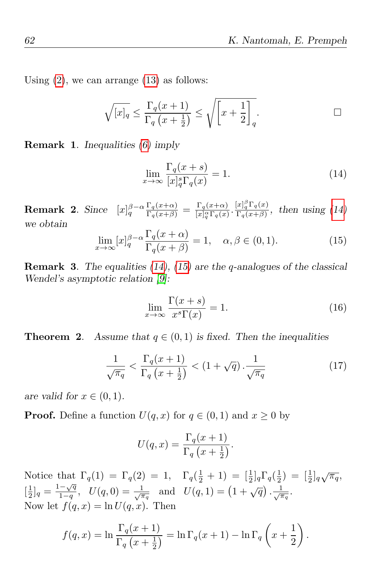Using  $(2)$ , we can arrange  $(13)$  as follows:

$$
\sqrt{[x]_q} \le \frac{\Gamma_q(x+1)}{\Gamma_q(x+\frac{1}{2})} \le \sqrt{\left[x+\frac{1}{2}\right]_q}.
$$

Remark 1. Inequalities (6) imply

$$
\lim_{x \to \infty} \frac{\Gamma_q(x+s)}{[x]_q^s \Gamma_q(x)} = 1.
$$
\n(14)

**Remark 2.** Since  $[x]_q^{\beta-\alpha}$  $\Gamma_q(x+\alpha)$  $\frac{\Gamma_q(x+\alpha)}{\Gamma_q(x+\beta)} = \frac{\Gamma_q(x+\alpha)}{[x]_q^{\alpha}\Gamma_q(x)}$  $\frac{\Gamma_q(x+\alpha)}{[x]_q^{\alpha}\Gamma_q(x)} \cdot \frac{[x]_q^{\beta}\Gamma_q(x)}{\Gamma_q(x+\beta)}$  $\frac{[x]_q I_q(x)}{\Gamma_q(x+\beta)}$ , then using  $(14)$ we obtain

$$
\lim_{x \to \infty} [x]_q^{\beta - \alpha} \frac{\Gamma_q(x + \alpha)}{\Gamma_q(x + \beta)} = 1, \quad \alpha, \beta \in (0, 1).
$$
 (15)

**Remark 3.** The equalities  $(14)$ ,  $(15)$  are the q-analogues of the classical Wendel's asymptotic relation [9]:

$$
\lim_{x \to \infty} \frac{\Gamma(x+s)}{x^s \Gamma(x)} = 1.
$$
\n(16)

**Theorem 2.** Assume that  $q \in (0,1)$  is fixed. Then the inequalities

$$
\frac{1}{\sqrt{\pi_q}} < \frac{\Gamma_q(x+1)}{\Gamma_q\left(x+\frac{1}{2}\right)} < \left(1+\sqrt{q}\right) \cdot \frac{1}{\sqrt{\pi_q}} \tag{17}
$$

are valid for  $x \in (0,1)$ .

**Proof.** Define a function  $U(q, x)$  for  $q \in (0, 1)$  and  $x \ge 0$  by

$$
U(q,x) = \frac{\Gamma_q(x+1)}{\Gamma_q(x+\frac{1}{2})}.
$$

Notice that  $\Gamma_q(1) = \Gamma_q(2) = 1$ ,  $\Gamma_q(\frac{1}{2})$  $(\frac{1}{2} + 1) = [\frac{1}{2}]_q \Gamma_q(\frac{1}{2})$  $(\frac{1}{2}) = [\frac{1}{2}]_q \sqrt{\pi_q},$  $\left[\frac{1}{2}\right]$  $\frac{1}{2}$ ]<sub>q</sub> =  $\frac{1-\sqrt{q}}{1-q}$  $\frac{-\sqrt{q}}{1-q}, \quad U(q,0) = \frac{1}{\sqrt{\pi_q}} \text{ and } U(q,1) = (1+\sqrt{q}) \cdot \frac{1}{\sqrt{\pi_q}}.$ Now let  $f(q, x) = \ln U(q, x)$ . Then

$$
f(q,x) = \ln \frac{\Gamma_q(x+1)}{\Gamma_q(x+\frac{1}{2})} = \ln \Gamma_q(x+1) - \ln \Gamma_q\left(x+\frac{1}{2}\right).
$$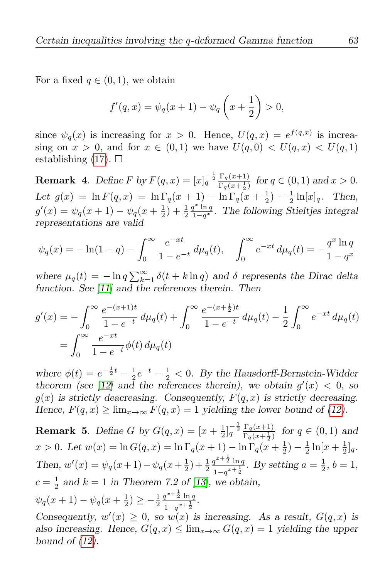For a fixed  $q \in (0,1)$ , we obtain

$$
f'(q, x) = \psi_q(x + 1) - \psi_q\left(x + \frac{1}{2}\right) > 0,
$$

since  $\psi_q(x)$  is increasing for  $x > 0$ . Hence,  $U(q, x) = e^{f(q, x)}$  is increasing on  $x > 0$ , and for  $x \in (0,1)$  we have  $U(q, 0) < U(q, x) < U(q, 1)$ establishing  $(17)$ .  $\Box$ 

**Remark** 4. Define F by  $F(q, x) = [x]_q^{-\frac{1}{2}} \frac{\Gamma_q(x+1)}{\Gamma_q(x+1)}$  $\frac{\Gamma_q(x+1)}{\Gamma_q(x+\frac{1}{2})}$  for  $q \in (0,1)$  and  $x > 0$ . Let  $g(x) = \ln F(q, x) = \ln \Gamma_q(x + 1) - \ln \Gamma_q(x + \frac{1}{2})$  $(\frac{1}{2}) - \frac{1}{2}$  $\frac{1}{2} \ln[x]_q$ . Then,  $g'(x) = \psi_q(x+1) - \psi_q(x+\frac{1}{2})$  $(\frac{1}{2}) + \frac{1}{2}$  $q^x \ln q$  $\frac{q^{\infty} \ln q}{1-q^x}$ . The following Stieltjes integral representations are valid

$$
\psi_q(x) = -\ln(1-q) - \int_0^\infty \frac{e^{-xt}}{1 - e^{-t}} d\mu_q(t), \quad \int_0^\infty e^{-xt} d\mu_q(t) = -\frac{q^x \ln q}{1 - q^x}
$$

where  $\mu_q(t) = -\ln q \sum_{k=1}^{\infty} \delta(t+k \ln q)$  and  $\delta$  represents the Dirac delta function. See [11] and the references therein. Then

$$
g'(x) = -\int_0^\infty \frac{e^{-(x+1)t}}{1 - e^{-t}} d\mu_q(t) + \int_0^\infty \frac{e^{-(x+\frac{1}{2})t}}{1 - e^{-t}} d\mu_q(t) - \frac{1}{2} \int_0^\infty e^{-xt} d\mu_q(t)
$$
  
= 
$$
\int_0^\infty \frac{e^{-xt}}{1 - e^{-t}} \phi(t) d\mu_q(t)
$$

where  $\phi(t) = e^{-\frac{1}{2}t} - \frac{1}{2}$  $\frac{1}{2}e^{-t} - \frac{1}{2}$  $\frac{1}{2}$  < 0. By the Hausdorff-Bernstein-Widder theorem (see [12] and the references therein), we obtain  $g'(x) < 0$ , so  $g(x)$  is strictly deacreasing. Consequently,  $F(q, x)$  is strictly decreasing. Hence,  $F(q, x) \ge \lim_{x \to \infty} F(q, x) = 1$  yielding the lower bound of (12).

**Remark 5.** Define G by  $G(q, x) = [x + \frac{1}{2}]$  $\frac{1}{2}$ ] $\frac{1}{q}$  $\frac{\Gamma_q(x+1)}{\Gamma_q(x+\frac{1}{2})}$  $\frac{1}{\Gamma_q(x+\frac{1}{2})}$  for  $q \in (0,1)$  and x > 0. Let  $w(x) = \ln G(q, x) = \ln \Gamma_q(x + 1) - \ln \Gamma_q(x + \frac{1}{2})$  $(\frac{1}{2}) - \frac{1}{2}$  $\frac{1}{2} \ln[x + \frac{1}{2}]$  $\frac{1}{2}]_q.$ Then,  $w'(x) = \psi_q(x+1) - \psi_q(x+\frac{1}{2})$  $(\frac{1}{2}) + \frac{1}{2}$  $q^{x+\frac{1}{2}}\ln q$  $\frac{q^{x+\frac{1}{2}}\ln q}{1-q^{x+\frac{1}{2}}}$ . By setting  $a=\frac{1}{2}$  $\frac{1}{2}$ ,  $b=1$ ,  $c=\frac{1}{2}$  $\frac{1}{2}$  and  $k = 1$  in Theorem 7.2 of [13], we obtain,  $\psi_q(x+1) - \psi_q(x+\frac{1}{2})$  $(\frac{1}{2}) \geq -\frac{1}{2}$  $q^{x+\frac{1}{2}}\ln q$  $\frac{q^{2} \ln q}{1-q^{x+\frac{1}{2}}}.$ 

Consequently,  $w'(x) \geq 0$ , so  $w(x)$  is increasing. As a result,  $G(q, x)$  is also increasing. Hence,  $G(q, x) \leq \lim_{x \to \infty} G(q, x) = 1$  yielding the upper bound of  $(12)$ .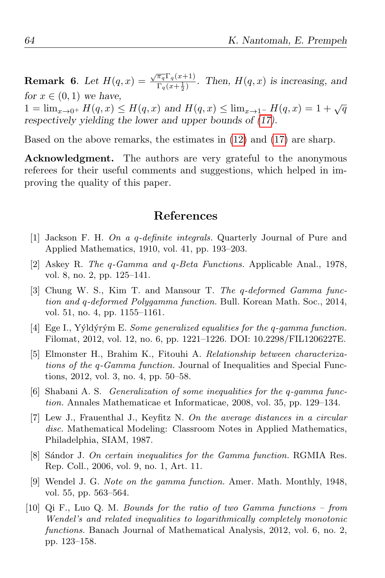**Remark 6.** Let  $H(q, x) = \frac{\sqrt{\pi_q} \Gamma_q(x+1)}{\Gamma_q(x+1)}$  $\frac{\frac{n_q}{q} \cdot \frac{q(x+1)}{q(x+\frac{1}{2})}}{\Gamma_q(x+\frac{1}{2})}$ . Then,  $H(q, x)$  is increasing, and for  $x \in (0,1)$  we have,  $1 = \lim_{x \to 0^+} H(q, x) \leq H(q, x)$  and  $H(q, x) \leq \lim_{x \to 1^-} H(q, x) = 1 + \sqrt{q}$ respectively yielding the lower and upper bounds of (17).

Based on the above remarks, the estimates in (12) and (17) are sharp.

Acknowledgment. The authors are very grateful to the anonymous referees for their useful comments and suggestions, which helped in improving the quality of this paper.

## References

- [1] Jackson F. H. On a q-definite integrals. Quarterly Journal of Pure and Applied Mathematics, 1910, vol. 41, pp. 193–203.
- [2] Askey R. The q-Gamma and q-Beta Functions. Applicable Anal., 1978, vol. 8, no. 2, pp. 125–141.
- [3] Chung W. S., Kim T. and Mansour T. The q-deformed Gamma function and q-deformed Polygamma function. Bull. Korean Math. Soc., 2014, vol. 51, no. 4, pp. 1155–1161.
- [4] Ege I., Yýldýrým E. Some generalized equalities for the q-gamma function. Filomat, 2012, vol. 12, no. 6, pp. 1221–1226. DOI: 10.2298/FIL1206227E.
- [5] Elmonster H., Brahim K., Fitouhi A. Relationship between characterizations of the q-Gamma function. Journal of Inequalities and Special Functions, 2012, vol. 3, no. 4, pp. 50–58.
- [6] Shabani A. S. Generalization of some inequalities for the q-gamma function. Annales Mathematicae et Informaticae, 2008, vol. 35, pp. 129–134.
- [7] Lew J., Frauenthal J., Keyfitz N. On the average distances in a circular disc. Mathematical Modeling: Classroom Notes in Applied Mathematics, Philadelphia, SIAM, 1987.
- [8] Sándor J. On certain inequalities for the Gamma function. RGMIA Res. Rep. Coll., 2006, vol. 9, no. 1, Art. 11.
- [9] Wendel J. G. Note on the gamma function. Amer. Math. Monthly, 1948, vol. 55, pp. 563–564.
- [10] Qi F., Luo Q. M. Bounds for the ratio of two Gamma functions from Wendel's and related inequalities to logarithmically completely monotonic functions. Banach Journal of Mathematical Analysis, 2012, vol. 6, no. 2, pp. 123–158.